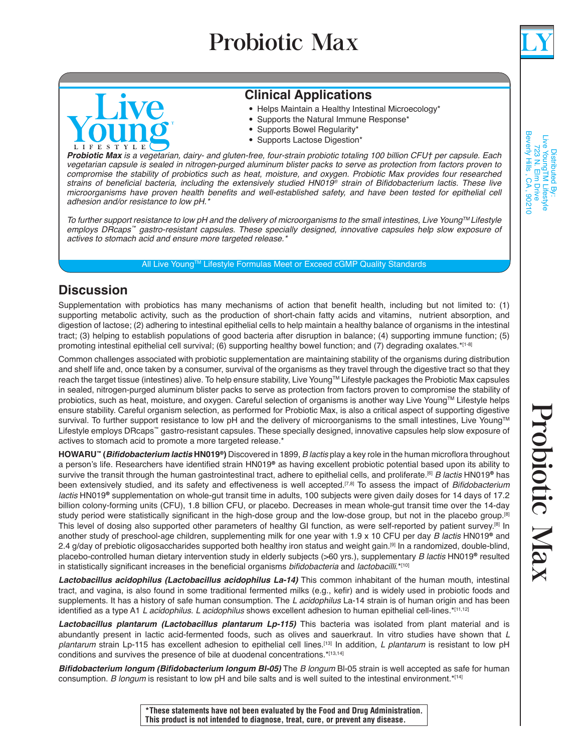## Probiotic Max



Distributed By:<br>Live YoungTM Lifestyle<br>723 N. Elm Drive<br>Beverly Hills , CA , 90210

# VA LIFESTYLE

## **Clinical Applications**

- Helps Maintain a Healthy Intestinal Microecology\*
- Supports the Natural Immune Response\*
- Supports Bowel Regularity\*
- Supports Lactose Digestion\*

*Probiotic Max is a vegetarian, dairy- and gluten-free, four-strain probiotic totaling 100 billion CFU† per capsule. Each vegetarian capsule is sealed in nitrogen-purged aluminum blister packs to serve as protection from factors proven to compromise the stability of probiotics such as heat, moisture, and oxygen. Probiotic Max provides four researched*  strains of beneficial bacteria, including the extensively studied HN019*®* strain of Bifidobacterium lactis. These live microorganisms have proven health benefits and well-established safety, and have been tested for epithelial cell adhesion and/or resistance to low pH.\*

To further support resistance to low pH and the delivery of microorganisms to the small intestines, Live Young<sup>TM</sup> Lifestyle *employs DRcaps™* gastro-resistant capsules. These specially designed, innovative capsules help slow exposure of actives to stomach acid and ensure more targeted release.\*

All Live Young™ Lifestyle Formulas Meet or Exceed cGMP Quality Standards

## **Discussion**

Supplementation with probiotics has many mechanisms of action that benefit health, including but not limited to: (1) supporting metabolic activity, such as the production of short-chain fatty acids and vitamins, nutrient absorption, and digestion of lactose; (2) adhering to intestinal epithelial cells to help maintain a healthy balance of organisms in the intestinal tract; (3) helping to establish populations of good bacteria after disruption in balance; (4) supporting immune function; (5) promoting intestinal epithelial cell survival; (6) supporting healthy bowel function; and (7) degrading oxalates.\*[1-8]

Common challenges associated with probiotic supplementation are maintaining stability of the organisms during distribution and shelf life and, once taken by a consumer, survival of the organisms as they travel through the digestive tract so that they reach the target tissue (intestines) alive. To help ensure stability, Live YoungTM Lifestyle packages the Probiotic Max capsules in sealed, nitrogen-purged aluminum blister packs to serve as protection from factors proven to compromise the stability of probiotics, such as heat, moisture, and oxygen. Careful selection of organisms is another way Live Young™ Lifestyle helps ensure stability. Careful organism selection, as performed for Probiotic Max, is also a critical aspect of supporting digestive survival. To further support resistance to low pH and the delivery of microorganisms to the small intestines, Live Young™ Lifestyle employs DRcaps™ gastro-resistant capsules. These specially designed, innovative capsules help slow exposure of actives to stomach acid to promote a more targeted release.\*

**HOWARU™ (Bifidobacterium lactis HN019**®**)** Discovered in 1899, *B lactis* play a key role in the human microflora throughout a person's life. Researchers have identified strain HN019® as having excellent probiotic potential based upon its ability to survive the transit through the human gastrointestinal tract, adhere to epithelial cells, and proliferate.[6] *B lactis* HN019® has been extensively studied, and its safety and effectiveness is well accepted.<sup>[7,8]</sup> To assess the impact of *Bifidobacterium lactis* HN019® supplementation on whole-gut transit time in adults, 100 subjects were given daily doses for 14 days of 17.2 billion colony-forming units (CFU), 1.8 billion CFU, or placebo. Decreases in mean whole-gut transit time over the 14-day study period were statistically significant in the high-dose group and the low-dose group, but not in the placebo group.<sup>[8]</sup> This level of dosing also supported other parameters of healthy GI function, as were self-reported by patient survey.[8] In another study of preschool-age children, supplementing milk for one year with 1.9 x 10 CFU per day *B lactis* HN019® and 2.4 g/day of prebiotic oligosaccharides supported both healthy iron status and weight gain.<sup>[9]</sup> In a randomized, double-blind, placebo-controlled human dietary intervention study in elderly subjects (>60 yrs.), supplementary *B lactis* HN019® resulted in statistically significant increases in the beneficial organisms *bifidobacteria* and *lactobacilli*.\*[10]

**Lactobacillus acidophilus (Lactobacillus acidophilus La-14)** This common inhabitant of the human mouth, intestinal tract, and vagina, is also found in some traditional fermented milks (e.g., kefir) and is widely used in probiotic foods and supplements. It has a history of safe human consumption. The L acidophilus La-14 strain is of human origin and has been identified as a type A1 L acidophilus. L acidophilus shows excellent adhesion to human epithelial cell-lines. $*$ [11,12]

**Lactobacillus plantarum (Lactobacillus plantarum Lp-115)** This bacteria was isolated from plant material and is abundantly present in lactic acid-fermented foods, such as olives and sauerkraut. In vitro studies have shown that L *plantarum* strain Lp-115 has excellent adhesion to epithelial cell lines.[13] In addition, L plantarum is resistant to low pH conditions and survives the presence of bile at duodenal concentrations.\*[13,14]

**Bifidobacterium longum (Bifidobacterium longum Bl-05)** The *B longum* Bl-05 strain is well accepted as safe for human consumption. *B longum* is resistant to low pH and bile salts and is well suited to the intestinal environment.\*<sup>[14]</sup>

**\*These statements have not been evaluated by the Food and Drug Administration. This product is not intended to diagnose, treat, cure, or prevent any disease.**